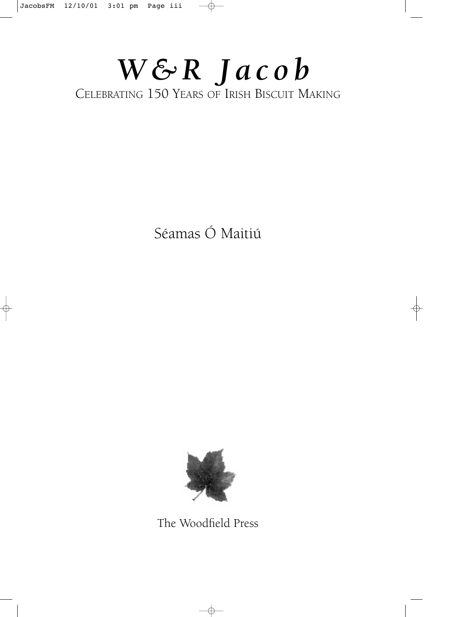## *W&R Jacob*

CELEBRATING 150 YEARS OF IRISH BISCUIT MAKING

Séamas Ó Maitiú



The Woodfield Press